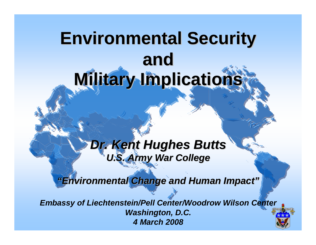# **Environmental Security Environmental Security andMilitary Implications Military Implications**

#### *Dr. Kent Hughes Butts Dr. Kent Hughes Butts U.S. Army War College U.S. Army War College*

*"Environmental Change and Human Impact" "Environmental Change and Human Impact"*

*Embassy of Liechtenstein/Pell Center/Woodrow Wilson Center Washington, D.C. 4 March 2008*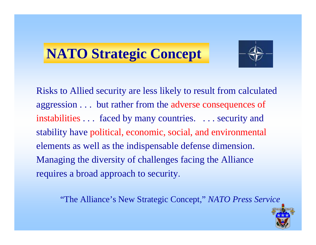## **NATO Strategic Concept**



Risks to Allied security are less likely to result from calculated aggression . . . but rather from the adverse consequences of instabilities . . . faced by many countries. . . . security and stability have political, economic, social, and environmental elements as well as the indispensable defense dimension. Managing the diversity of challenges facing the Alliance requires a broad approach to security.

"The Alliance's New Strategic Concept," *NATO Press Service*

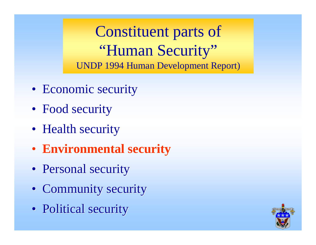Constituent parts of "Human Security" UNDP 1994 Human Development Report)

- Economic security Economic security
- Food security Food security
- Health security Health security
- **Environmental security Environmental security**
- Personal security Personal security
- Community security Community security
- Political security Political security

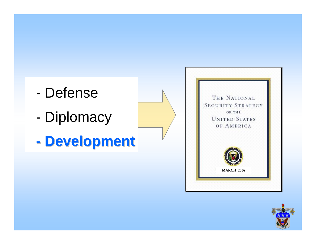## - Defense

- Diplomacy
- **-Development Development**



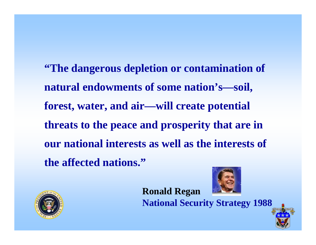**"The dangerous depletion or contamination of natural endowments of some nation's—soil, forest, water, and air—will create potential threats to the peace and prosperity that are in our national interests as well as the interests of the affected nations."** 



**Ronald Regan National Security Strategy 1988**

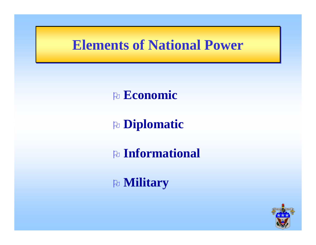#### **Elements of National Power Elements of National Power**

#### 2 **Economic**

## <sup>2</sup> **Diplomatic**

### 2 **Informational**

<sup>2</sup> **Military**

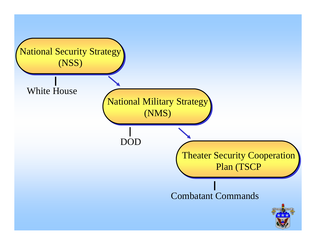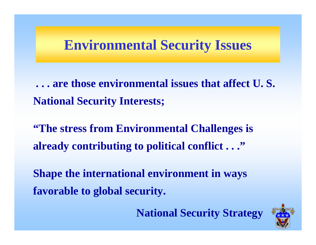## **Environmental Security Issues**

**. . . are those environmental issues that affect U. S. National Security Interests;** 

**"The stress from Environmental Challenges is already contributing to political conflict . . ."**

**Shape the international environment in ways favorable to global security.**

**National Security Strategy**

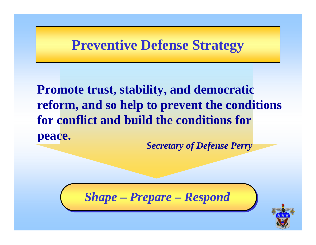## **Preventive Defense Strategy**

**Promote trust, stability, and democratic reform, and so help to prevent the conditions for conflict and build the conditions for peace.**

*Secretary of Defense Perry*

*Shape – Prepare – Respond* 

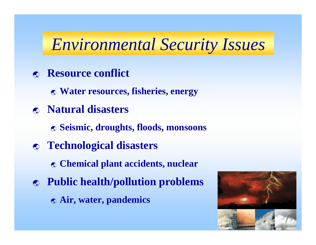## *Environmental Security Issues*

- ß **Resource conflict**
	- <sup>ß</sup> **Water resources, fisheries, energy**
- ß **Natural disasters**
	- <sup>ß</sup> **Seismic, droughts, floods, monsoons**
- <sup>ß</sup> **Technological disasters**
	- <sup>ß</sup> **Chemical plant accidents, nuclear**
- <sup>ß</sup> **Public health/pollution problems**
	- <sup>ß</sup> **Air, water, pandemics**

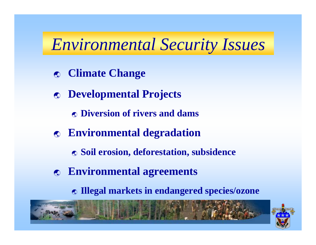## *Environmental Security Issues*

- <sup>ß</sup> **Climate Change**
- <sup>ß</sup> **Developmental Projects**

<sup>ß</sup> **Diversion of rivers and dams**

- <sup>ß</sup> **Environmental degradation**
	- <sup>ß</sup> **Soil erosion, deforestation, subsidence**
- <sup>ß</sup> **Environmental agreements**

<sup>ß</sup> **Illegal markets in endangered species/ozone** 



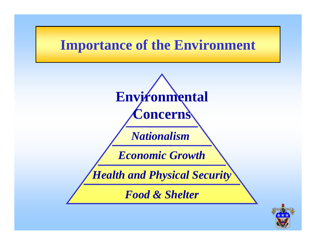## **Importance of the Environment**



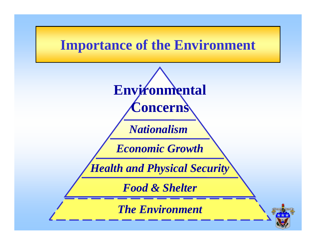## **Importance of the Environment**

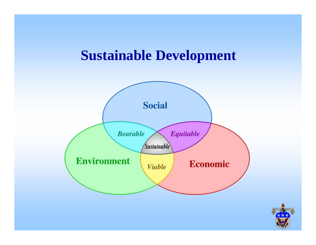#### **Sustainable Development**



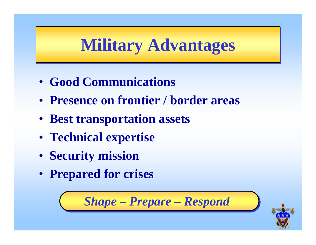# **Military Advantages Military Advantages**

- **Good Communications Good Communications**
- **Presence on frontier / border areas Presence on frontier / border areas**
- **Best transportation assets Best transportation assets**
- **Technical expertise Technical expertise**
- **Security mission Security mission**
- **Prepared for crises Prepared for crises**

*Shape – Prepare – Respond* 

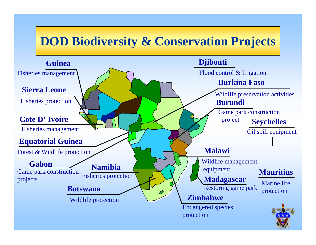#### **Namibia Gabon Equatorial Guinea Cote D' IvoireSierra LeoneGuineaBotswanaZimbabwe Malawi BurundiBurkina FasoDjibouti** Fisheries protection Wildlife protection Endangered species protection Wildlife management equipment Game park construction project Wildlife preservation activities Flood control & Irrigation Game park construction projects Forest & Wildlife protection Fisheries management Fisheries protection Fisheries management **DOD Biodiversity & Conservation Projects Madagascar** Restoring game park **MauritiusSeychelles** Oil spill equipment Marine lifeprotection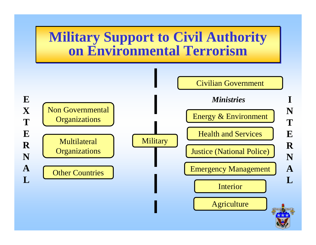### **Military Support to Civil Authority Military Support to Civil Authority on Environmental Terrorism on Environmental Terrorism**

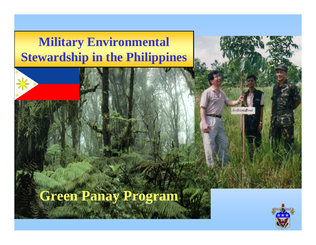## **Military Environmental Stewardship in the Philippines**

## **Green Panay Program**



Sectionship can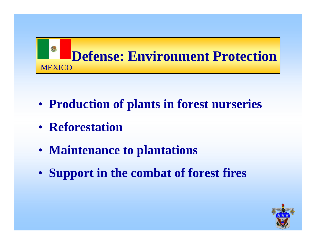

- **Production of plants in forest nurseries**
- **Reforestation**
- **Maintenance to plantations**
- **Support in the combat of forest fires**

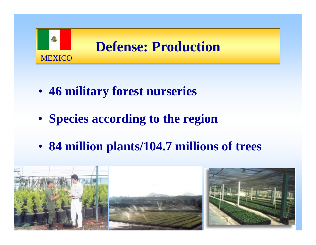

- **46 military forest nurseries**
- **Species according to the region**
- **84 million plants/104.7 millions of trees**

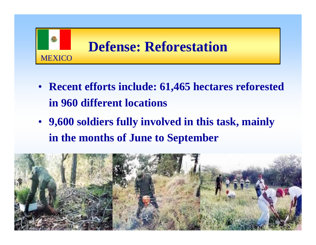

- **Recent efforts include: 61,465 hectares reforested in 960 different locations**
- **9,600 soldiers fully involved in this task, mainly in the months of June to September**